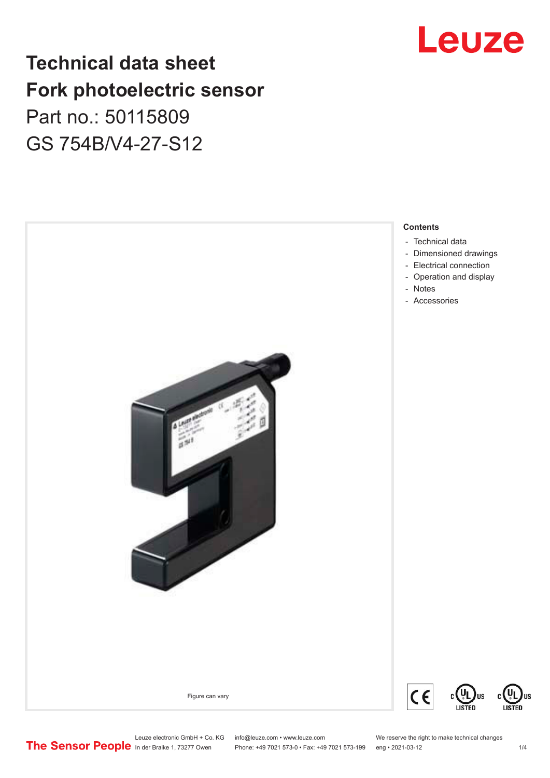## Leuze

## **Technical data sheet Fork photoelectric sensor** Part no.: 50115809

GS 754B/V4-27-S12



US

Leuze electronic GmbH + Co. KG info@leuze.com • www.leuze.com We reserve the right to make technical changes<br>
The Sensor People in der Braike 1, 73277 Owen Phone: +49 7021 573-0 • Fax: +49 7021 573-199 eng • 2021-03-12

Phone: +49 7021 573-0 • Fax: +49 7021 573-199 eng • 2021-03-12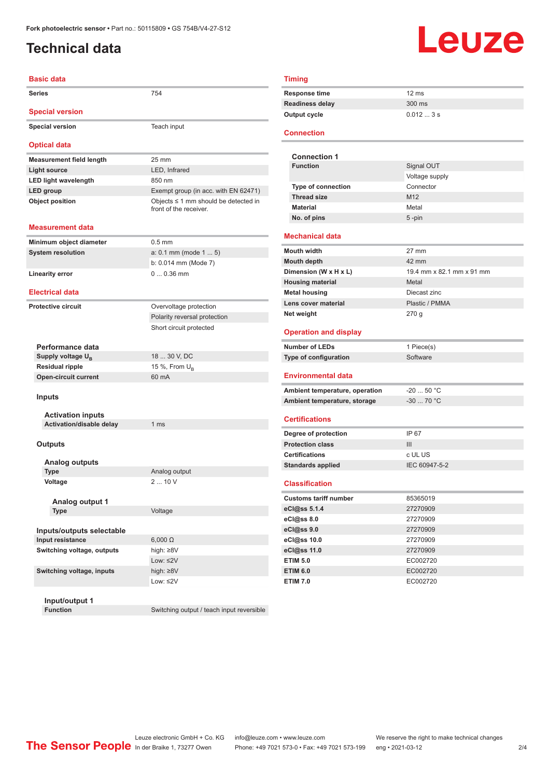## <span id="page-1-0"></span>**Technical data**

# Leuze

| <b>Basic data</b>               |                                                                     |
|---------------------------------|---------------------------------------------------------------------|
| Series                          | 754                                                                 |
| <b>Special version</b>          |                                                                     |
| <b>Special version</b>          | Teach input                                                         |
| <b>Optical data</b>             |                                                                     |
| <b>Measurement field length</b> | 25 mm                                                               |
| <b>Light source</b>             | LED, Infrared                                                       |
| <b>LED light wavelength</b>     | 850 nm                                                              |
| LED group                       | Exempt group (in acc. with EN 62471)                                |
| <b>Object position</b>          | Objects $\leq$ 1 mm should be detected in<br>front of the receiver. |
| Measurement data                |                                                                     |
| Minimum object diameter         | $0.5$ mm                                                            |
| <b>System resolution</b>        | $a: 0.1$ mm (mode $15$ )                                            |
|                                 | b: 0.014 mm (Mode 7)                                                |
| <b>Linearity error</b>          | $00.36$ mm                                                          |
| <b>Electrical data</b>          |                                                                     |
| <b>Protective circuit</b>       | Overvoltage protection                                              |
|                                 | Polarity reversal protection                                        |
|                                 | Short circuit protected                                             |
|                                 |                                                                     |
| Performance data                |                                                                     |
| Supply voltage U <sub>B</sub>   | 18  30 V, DC                                                        |
| <b>Residual ripple</b>          | 15 %, From $U_R$                                                    |
| <b>Open-circuit current</b>     | 60 mA                                                               |
| <b>Inputs</b>                   |                                                                     |
| <b>Activation inputs</b>        |                                                                     |
| Activation/disable delay        | 1 <sub>ms</sub>                                                     |
| <b>Outputs</b>                  |                                                                     |
| Analog outputs                  |                                                                     |
| <b>Type</b>                     | Analog output                                                       |
| Voltage                         | 210V                                                                |
| Analog output 1                 |                                                                     |
| <b>Type</b>                     | Voltage                                                             |
| Inputs/outputs selectable       |                                                                     |
| Input resistance                | $6,000 \Omega$                                                      |
| Switching voltage, outputs      | high: ≥8V                                                           |
|                                 | Low: $\leq$ 2V                                                      |
| Switching voltage, inputs       | high: $\geq 8V$                                                     |
|                                 | Low: $\leq$ 2V                                                      |
|                                 |                                                                     |

**Input/output 1**

Switching output / teach input reversible

| $12 \text{ ms}$ |
|-----------------|
| 300 ms          |
| $0.0123$ s      |
|                 |

#### **Connection**

| <b>Connection 1</b>       |                 |
|---------------------------|-----------------|
| <b>Function</b>           | Signal OUT      |
|                           | Voltage supply  |
| <b>Type of connection</b> | Connector       |
| <b>Thread size</b>        | M <sub>12</sub> |
| <b>Material</b>           | Metal           |
| No. of pins               | $5 - pin$       |

#### **Mechanical data**

| <b>Mouth width</b>      | $27 \text{ mm}$           |
|-------------------------|---------------------------|
| <b>Mouth depth</b>      | 42 mm                     |
| Dimension (W x H x L)   | 19.4 mm x 82.1 mm x 91 mm |
| <b>Housing material</b> | Metal                     |
| <b>Metal housing</b>    | Diecast zinc              |
| Lens cover material     | Plastic / PMMA            |
| Net weight              | 270q                      |

#### **Operation and display**

| Number of LEDs        | 1 Piece(s) |
|-----------------------|------------|
| Type of configuration | Software   |
|                       |            |

#### **Environmental data**

| Ambient temperature, operation | -20  50 °C |
|--------------------------------|------------|
| Ambient temperature, storage   | -30  70 °C |

### **Certifications**

| Degree of protection     | IP 67         |
|--------------------------|---------------|
| <b>Protection class</b>  | Ш             |
| <b>Certifications</b>    | c UL US       |
| <b>Standards applied</b> | IEC 60947-5-2 |

#### **Classification**

| <b>Customs tariff number</b> | 85365019 |
|------------------------------|----------|
| eCl@ss 5.1.4                 | 27270909 |
| eCl@ss 8.0                   | 27270909 |
| eCl@ss 9.0                   | 27270909 |
| eCl@ss 10.0                  | 27270909 |
| eCl@ss 11.0                  | 27270909 |
| <b>ETIM 5.0</b>              | EC002720 |
| <b>ETIM 6.0</b>              | EC002720 |
| <b>ETIM 7.0</b>              | EC002720 |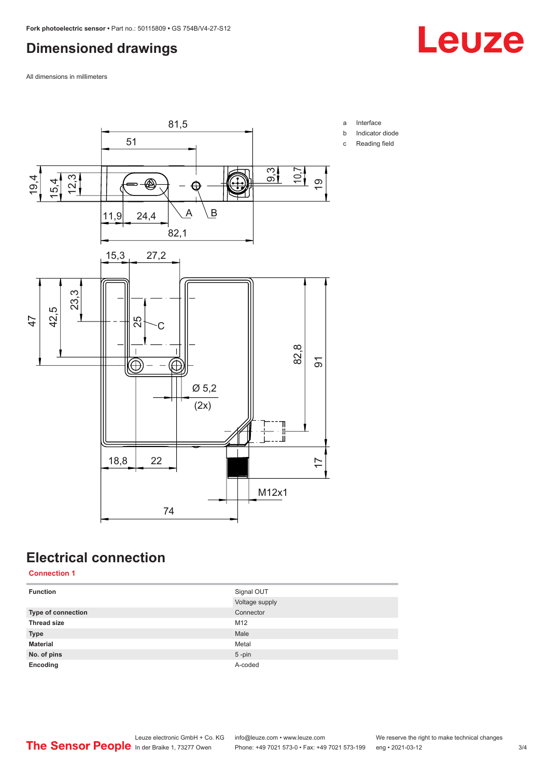## <span id="page-2-0"></span>**Dimensioned drawings**

All dimensions in millimeters



## **Electrical connection**

**Connection 1**

| <b>Function</b>           | Signal OUT     |
|---------------------------|----------------|
|                           | Voltage supply |
| <b>Type of connection</b> | Connector      |
| <b>Thread size</b>        | M12            |
| <b>Type</b>               | Male           |
| <b>Material</b>           | Metal          |
| No. of pins               | $5$ -pin       |
| Encoding                  | A-coded        |

Leuze